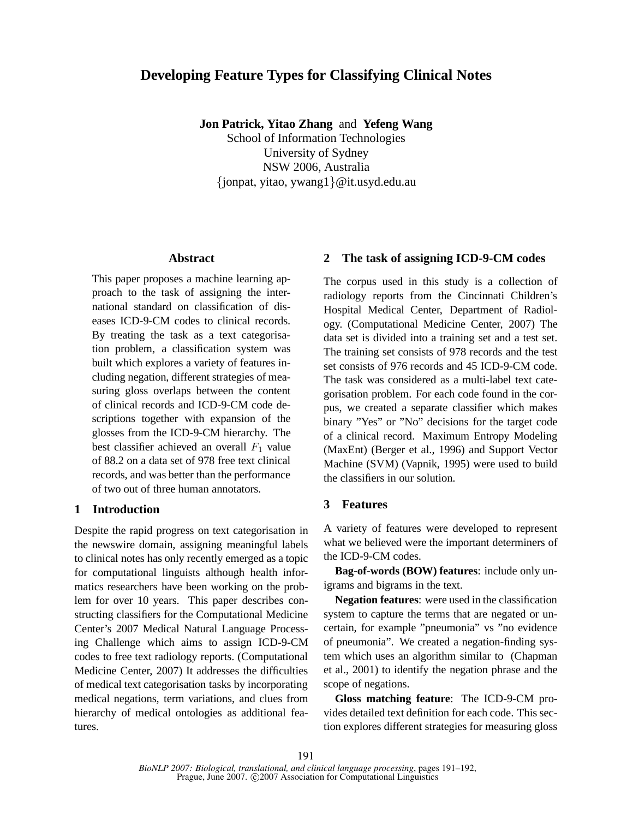# **Developing Feature Types for Classifying Clinical Notes**

**Jon Patrick, Yitao Zhang** and **Yefeng Wang**

School of Information Technologies University of Sydney NSW 2006, Australia {jonpat, yitao, ywang1}@it.usyd.edu.au

## **Abstract**

This paper proposes a machine learning approach to the task of assigning the international standard on classification of diseases ICD-9-CM codes to clinical records. By treating the task as a text categorisation problem, a classification system was built which explores a variety of features including negation, different strategies of measuring gloss overlaps between the content of clinical records and ICD-9-CM code descriptions together with expansion of the glosses from the ICD-9-CM hierarchy. The best classifier achieved an overall  $F_1$  value of 88.2 on a data set of 978 free text clinical records, and was better than the performance of two out of three human annotators.

# **1 Introduction**

Despite the rapid progress on text categorisation in the newswire domain, assigning meaningful labels to clinical notes has only recently emerged as a topic for computational linguists although health informatics researchers have been working on the problem for over 10 years. This paper describes constructing classifiers for the Computational Medicine Center's 2007 Medical Natural Language Processing Challenge which aims to assign ICD-9-CM codes to free text radiology reports. (Computational Medicine Center, 2007) It addresses the difficulties of medical text categorisation tasks by incorporating medical negations, term variations, and clues from hierarchy of medical ontologies as additional features.

# **2 The task of assigning ICD-9-CM codes**

The corpus used in this study is a collection of radiology reports from the Cincinnati Children's Hospital Medical Center, Department of Radiology. (Computational Medicine Center, 2007) The data set is divided into a training set and a test set. The training set consists of 978 records and the test set consists of 976 records and 45 ICD-9-CM code. The task was considered as a multi-label text categorisation problem. For each code found in the corpus, we created a separate classifier which makes binary "Yes" or "No" decisions for the target code of a clinical record. Maximum Entropy Modeling (MaxEnt) (Berger et al., 1996) and Support Vector Machine (SVM) (Vapnik, 1995) were used to build the classifiers in our solution.

## **3 Features**

A variety of features were developed to represent what we believed were the important determiners of the ICD-9-CM codes.

**Bag-of-words (BOW) features**: include only unigrams and bigrams in the text.

**Negation features**: were used in the classification system to capture the terms that are negated or uncertain, for example "pneumonia" vs "no evidence of pneumonia". We created a negation-finding system which uses an algorithm similar to (Chapman et al., 2001) to identify the negation phrase and the scope of negations.

**Gloss matching feature**: The ICD-9-CM provides detailed text definition for each code. This section explores different strategies for measuring gloss